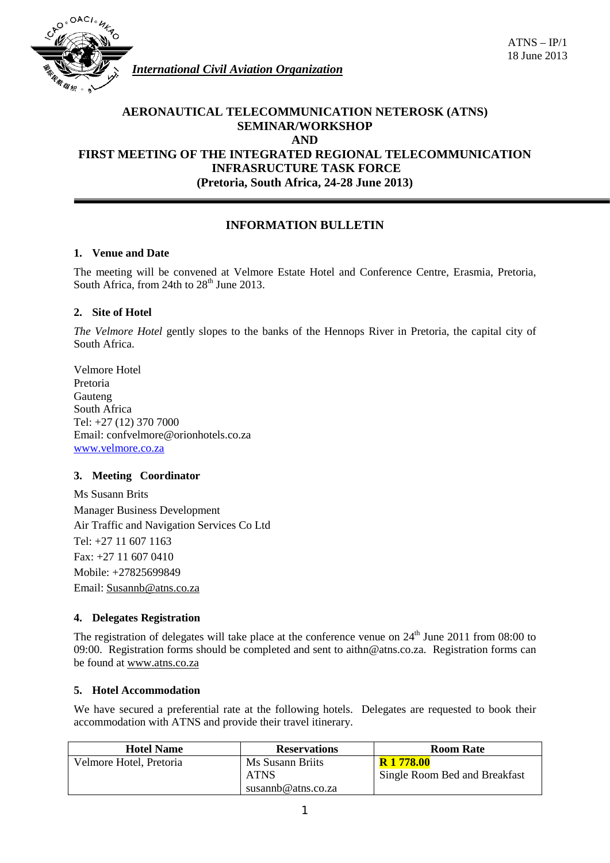

*International Civil Aviation Organization*

# **AERONAUTICAL TELECOMMUNICATION NETEROSK (ATNS) SEMINAR/WORKSHOP AND FIRST MEETING OF THE INTEGRATED REGIONAL TELECOMMUNICATION INFRASRUCTURE TASK FORCE (Pretoria, South Africa, 24-28 June 2013)**

# **INFORMATION BULLETIN**

# **1. Venue and Date**

The meeting will be convened at Velmore Estate Hotel and Conference Centre, Erasmia, Pretoria, South Africa, from 24th to  $28<sup>th</sup>$  June 2013.

# **2. Site of Hotel**

*The Velmore Hotel* gently slopes to the banks of the Hennops River in Pretoria, the capital city of South Africa.

Velmore Hotel Pretoria Gauteng South Africa Tel: +27 (12) 370 7000 Email: confvelmore@orionhotels.co.za [www.velmore.co.za](http://www.velmore.co.za/)

# **3. Meeting Coordinator**

Ms Susann Brits Manager Business Development Air Traffic and Navigation Services Co Ltd Tel: +27 11 607 1163 Fax: +27 11 607 0410 Mobile: +27825699849 Email: [Susannb@atns.co.za](mailto:Susannb@atns.co.za)

# **4. Delegates Registration**

The registration of delegates will take place at the conference venue on  $24<sup>th</sup>$  June 2011 from 08:00 to 09:00. Registration forms should be completed and sent to aithn@atns.co.za. Registration forms can be found at [www.atns.co.za](http://www.atns.co.za/)

# **5. Hotel Accommodation**

We have secured a preferential rate at the following hotels. Delegates are requested to book their accommodation with ATNS and provide their travel itinerary.

| <b>Hotel Name</b>       | <b>Reservations</b> | <b>Room Rate</b>              |
|-------------------------|---------------------|-------------------------------|
| Velmore Hotel, Pretoria | Ms Susann Briits    | <b>R</b> 1 778.00             |
|                         | <b>ATNS</b>         | Single Room Bed and Breakfast |
|                         | susannb@atns.co.za  |                               |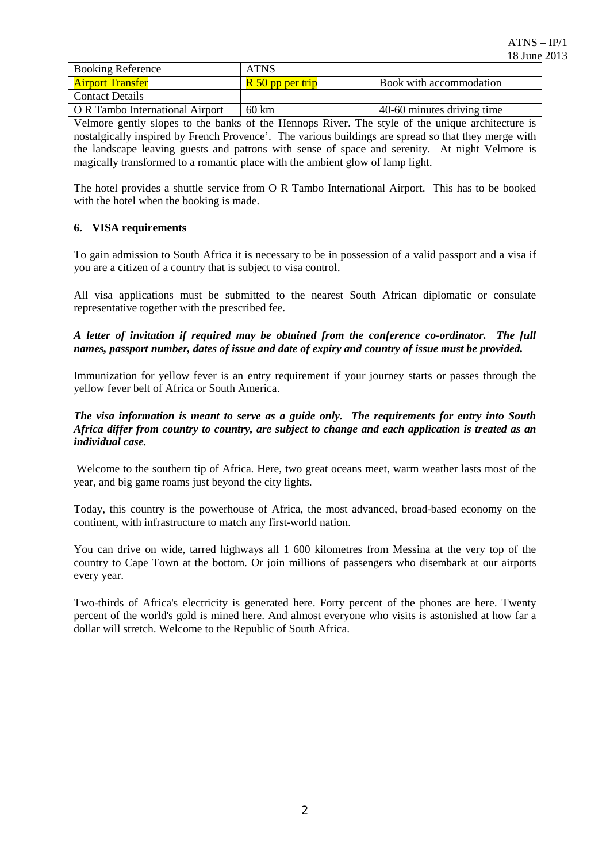| <b>Booking Reference</b>                                                                             | <b>ATNS</b>                   |                            |  |
|------------------------------------------------------------------------------------------------------|-------------------------------|----------------------------|--|
| <b>Airport Transfer</b>                                                                              | $\overline{R}$ 50 pp per trip | Book with accommodation    |  |
| <b>Contact Details</b>                                                                               |                               |                            |  |
| O R Tambo International Airport                                                                      | 60 km                         | 40-60 minutes driving time |  |
| Velmore gently slopes to the banks of the Hennops River. The style of the unique architecture is     |                               |                            |  |
| nostalgically inspired by French Provence'. The various buildings are spread so that they merge with |                               |                            |  |
| the landscape leaving guests and patrons with sense of space and serenity. At night Velmore is       |                               |                            |  |
| magically transformed to a romantic place with the ambient glow of lamp light.                       |                               |                            |  |

The hotel provides a shuttle service from O R Tambo International Airport. This has to be booked with the hotel when the booking is made.

# **6. VISA requirements**

To gain admission to South Africa it is necessary to be in possession of a valid passport and a visa if you are a citizen of a country that is subject to visa control.

All visa applications must be submitted to the nearest South African diplomatic or consulate representative together with the prescribed fee.

*A letter of invitation if required may be obtained from the conference co-ordinator. The full names, passport number, dates of issue and date of expiry and country of issue must be provided.* 

Immunization for yellow fever is an entry requirement if your journey starts or passes through the yellow fever belt of Africa or South America.

# *The visa information is meant to serve as a guide only. The requirements for entry into South Africa differ from country to country, are subject to change and each application is treated as an individual case.*

Welcome to the southern tip of Africa. Here, two great oceans meet, warm weather lasts most of the year, and big game roams just beyond the city lights.

Today, this country is the powerhouse of Africa, the most advanced, broad-based economy on the continent, with infrastructure to match any first-world nation.

You can drive on wide, tarred highways all 1 600 kilometres from Messina at the very top of the country to Cape Town at the bottom. Or join millions of passengers who disembark at our airports every year.

Two-thirds of Africa's electricity is generated here. Forty percent of the phones are here. Twenty percent of the world's gold is mined here. And almost everyone who visits is astonished at how far a dollar will stretch. Welcome to the Republic of South Africa.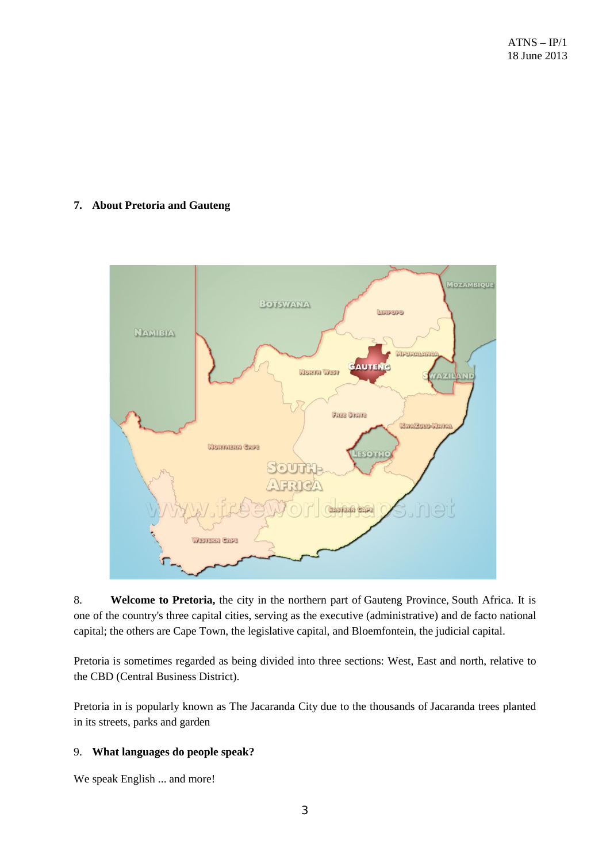# **7. About Pretoria and Gauteng**



8. **Welcome to Pretoria,** the city in the northern part of [Gauteng Province,](http://en.wikipedia.org/wiki/Gauteng_Province) [South Africa.](http://en.wikipedia.org/wiki/South_Africa) It is one of the country's three [capital cities,](http://en.wikipedia.org/wiki/Capital_(political)) serving as the executive (administrative) and de facto national capital; the others are [Cape Town,](http://en.wikipedia.org/wiki/Cape_Town) the [legislative](http://en.wikipedia.org/wiki/Legislature) capital, and [Bloemfontein,](http://en.wikipedia.org/wiki/Bloemfontein) the [judicial](http://en.wikipedia.org/wiki/Judicial) capital.

Pretoria is sometimes regarded as being divided into three sections: West, East and north, relative to the CBD (Central Business District).

Pretoria in is popularly known as The Jacaranda City due to the thousands of Jacaranda trees planted in its streets, parks and garden

# 9. **What languages do people speak?**

[We speak English ... and more!](http://www.southafrica.info/plan_trip/travel_tips/questions/language.htm)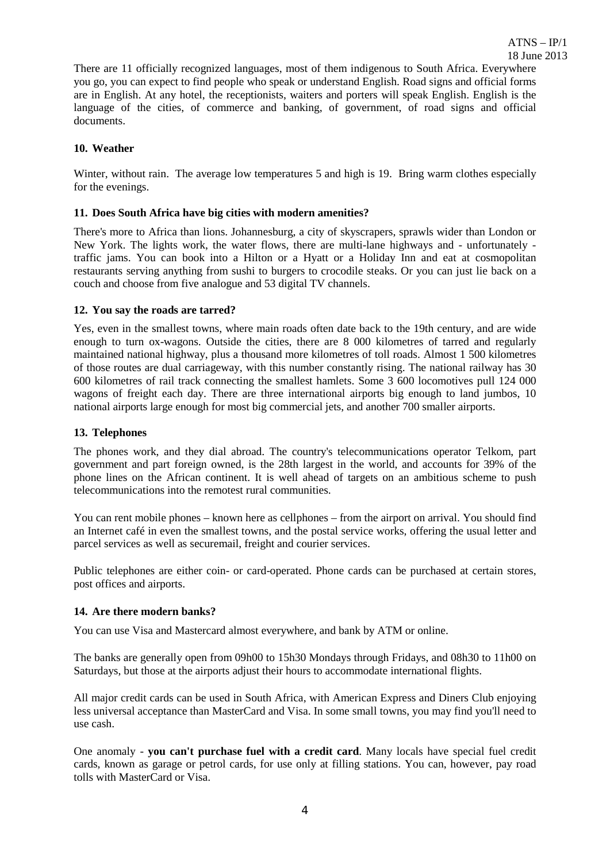There are 11 officially recognized languages, most of them indigenous to South Africa. Everywhere you go, you can expect to find people who speak or understand English. Road signs and official forms are in English. At any hotel, the receptionists, waiters and porters will speak English. English is the language of the cities, of commerce and banking, of government, of road signs and official documents.

### **10. Weather**

Winter, without rain. The average low temperatures 5 and high is 19. Bring warm clothes especially for the evenings.

### **11. Does South Africa have big cities with modern amenities?**

There's more to Africa than lions. Johannesburg, a city of skyscrapers, sprawls wider than London or New York. The lights work, the water flows, there are multi-lane highways and - unfortunately traffic jams. You can book into a Hilton or a Hyatt or a Holiday Inn and eat at cosmopolitan restaurants serving anything from sushi to burgers to crocodile steaks. Or you can just lie back on a couch and choose from five analogue and 53 digital TV channels.

#### **12. You say the roads are tarred?**

Yes, even in the smallest towns, where main roads often date back to the 19th century, and are wide enough to turn ox-wagons. Outside the cities, there are 8 000 kilometres of tarred and regularly maintained national highway, plus a thousand more kilometres of toll roads. Almost 1 500 kilometres of those routes are dual carriageway, with this number constantly rising. The national railway has 30 600 kilometres of rail track connecting the smallest hamlets. Some 3 600 locomotives pull 124 000 wagons of freight each day. There are three international airports big enough to land jumbos, 10 national airports large enough for most big commercial jets, and another 700 smaller airports.

### **13. Telephones**

The phones work, and they dial abroad. The country's telecommunications operator Telkom, part government and part foreign owned, is the 28th largest in the world, and accounts for 39% of the phone lines on the African continent. It is well ahead of targets on an ambitious scheme to push telecommunications into the remotest rural communities.

You can rent mobile phones – known here as cellphones – from the airport on arrival. You should find an Internet café in even the smallest towns, and the postal service works, offering the usual letter and parcel services as well as securemail, freight and courier services.

Public telephones are either coin- or card-operated. Phone cards can be purchased at certain stores, post offices and airports.

#### **14. Are there modern banks?**

You can use Visa and Mastercard almost everywhere, and bank by ATM or online.

The banks are generally open from 09h00 to 15h30 Mondays through Fridays, and 08h30 to 11h00 on Saturdays, but those at the airports adjust their hours to accommodate international flights.

All major credit cards can be used in South Africa, with American Express and Diners Club enjoying less universal acceptance than MasterCard and Visa. In some small towns, you may find you'll need to use cash.

One anomaly - **you can't purchase fuel with a credit card**. Many locals have special fuel credit cards, known as garage or petrol cards, for use only at filling stations. You can, however, pay road tolls with MasterCard or Visa.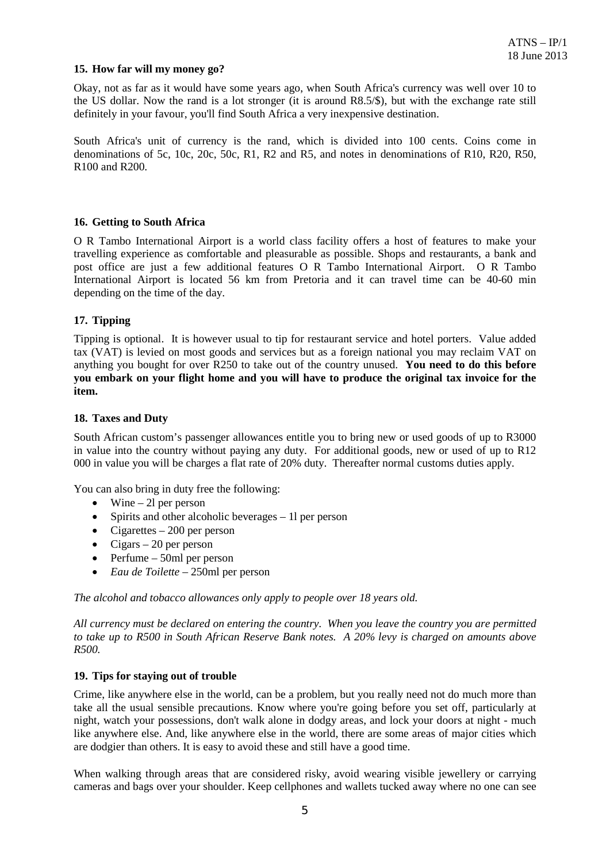### **15. How far will my money go?**

Okay, not as far as it would have some years ago, when South Africa's currency was well over 10 to the US dollar. Now the rand is a lot stronger (it is around R8.5/\$), but with the exchange rate still definitely in your favour, you'll find South Africa a very inexpensive destination.

South Africa's unit of currency is the rand, which is divided into 100 cents. Coins come in denominations of 5c, 10c, 20c, 50c, R1, R2 and R5, and notes in denominations of R10, R20, R50, R100 and R200.

#### **16. Getting to South Africa**

O R Tambo International Airport is a world class facility offers a host of features to make your travelling experience as comfortable and pleasurable as possible. Shops and restaurants, a bank and post office are just a few additional features O R Tambo International Airport. O R Tambo International Airport is located 56 km from Pretoria and it can travel time can be 40-60 min depending on the time of the day.

# **17. Tipping**

Tipping is optional. It is however usual to tip for restaurant service and hotel porters. Value added tax (VAT) is levied on most goods and services but as a foreign national you may reclaim VAT on anything you bought for over R250 to take out of the country unused. **You need to do this before you embark on your flight home and you will have to produce the original tax invoice for the item.**

#### **18. Taxes and Duty**

South African custom's passenger allowances entitle you to bring new or used goods of up to R3000 in value into the country without paying any duty. For additional goods, new or used of up to R12 000 in value you will be charges a flat rate of 20% duty. Thereafter normal customs duties apply.

You can also bring in duty free the following:

- Wine  $-2l$  per person
- Spirits and other alcoholic beverages 1 per person
- Cigarettes 200 per person
- Cigars 20 per person
- Perfume 50ml per person
- *Eau de Toilette*  250ml per person

*The alcohol and tobacco allowances only apply to people over 18 years old.*

*All currency must be declared on entering the country. When you leave the country you are permitted to take up to R500 in South African Reserve Bank notes. A 20% levy is charged on amounts above R500.*

#### **19. Tips for staying out of trouble**

Crime, like anywhere else in the world, can be a problem, but you really need not do much more than take all the usual sensible precautions. Know where you're going before you set off, particularly at night, watch your possessions, don't walk alone in dodgy areas, and lock your doors at night - much like anywhere else. And, like anywhere else in the world, there are some areas of major cities which are dodgier than others. It is easy to avoid these and still have a good time.

When walking through areas that are considered risky, avoid wearing visible jewellery or carrying cameras and bags over your shoulder. Keep cellphones and wallets tucked away where no one can see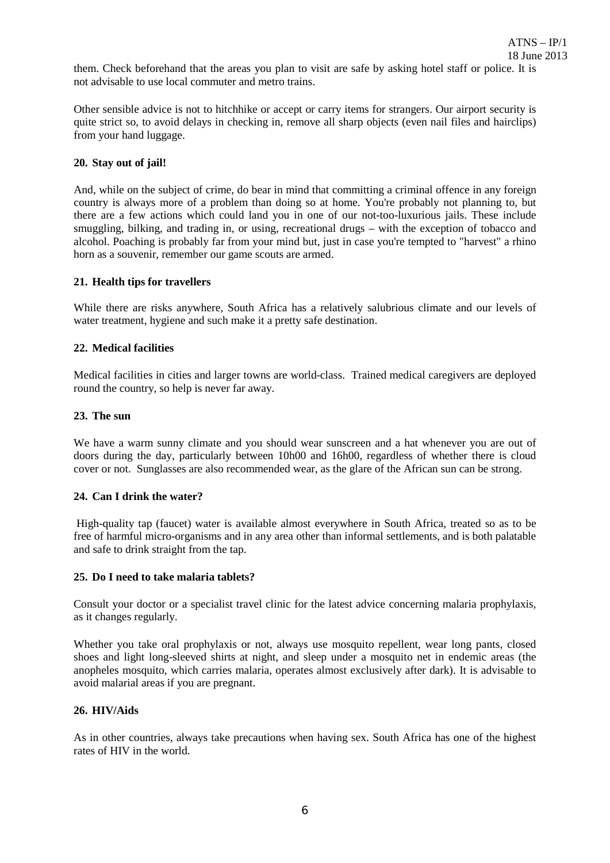them. Check beforehand that the areas you plan to visit are safe by asking hotel staff or police. It is not advisable to use local commuter and metro trains.

Other sensible advice is not to hitchhike or accept or carry items for strangers. Our airport security is quite strict so, to avoid delays in checking in, remove all sharp objects (even nail files and hairclips) from your hand luggage.

### **20. Stay out of jail!**

And, while on the subject of crime, do bear in mind that committing a criminal offence in any foreign country is always more of a problem than doing so at home. You're probably not planning to, but there are a few actions which could land you in one of our not-too-luxurious jails. These include smuggling, bilking, and trading in, or using, recreational drugs – with the exception of tobacco and alcohol. Poaching is probably far from your mind but, just in case you're tempted to "harvest" a rhino horn as a souvenir, remember our game scouts are armed.

#### **21. Health tips for travellers**

While there are risks anywhere, South Africa has a relatively salubrious climate and our levels of water treatment, hygiene and such make it a pretty safe destination.

# **22. Medical facilities**

Medical facilities in cities and larger towns are world-class. Trained medical caregivers are deployed round the country, so help is never far away.

# **23. The sun**

We have a warm sunny climate and you should wear sunscreen and a hat whenever you are out of doors during the day, particularly between 10h00 and 16h00, regardless of whether there is cloud cover or not. Sunglasses are also recommended wear, as the glare of the African sun can be strong.

#### **24. Can I drink the water?**

High-quality tap (faucet) water is available almost everywhere in South Africa, treated so as to be free of harmful micro-organisms and in any area other than informal settlements, and is both palatable and safe to drink straight from the tap.

# **25. Do I need to take malaria tablets?**

Consult your doctor or a specialist travel clinic for the latest advice concerning malaria prophylaxis, as it changes regularly.

Whether you take oral prophylaxis or not, always use mosquito repellent, wear long pants, closed shoes and light long-sleeved shirts at night, and sleep under a mosquito net in endemic areas (the anopheles mosquito, which carries malaria, operates almost exclusively after dark). It is advisable to avoid malarial areas if you are pregnant.

#### **26. HIV/Aids**

As in other countries, always take precautions when having sex. South Africa has one of the highest rates of HIV in the world.